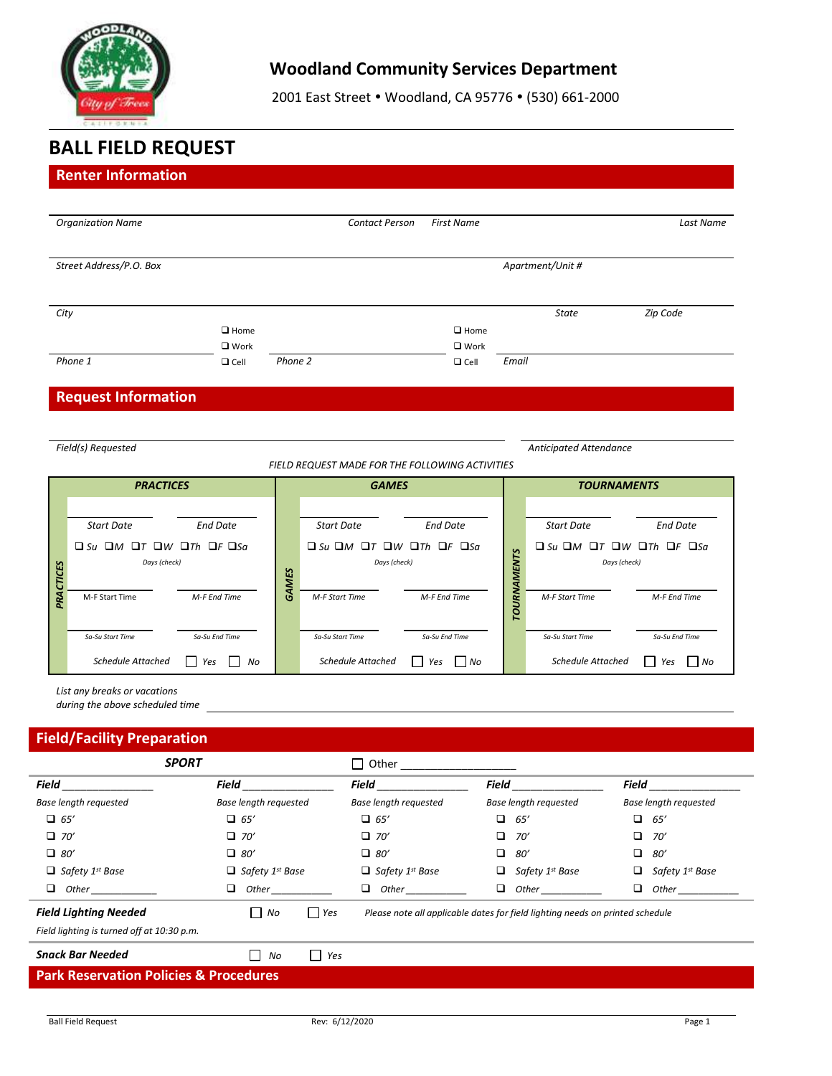

# **Woodland Community Services Department**

2001 East Street . Woodland, CA 95776 . (530) 661-2000

# **BALL FIELD REQUEST**

# **Renter Information** *Organization Name Contact Person First Name Last Name Street Address/P.O. Box Apartment/Unit # City State Zip Code*  $\square$  Home ■ Work  $\Box$  Cell  $\Box$  Home ■ Work *Phone 1 Phone 2* Cell *Email* **Request Information** *Field(s) Requested Anticipated Attendance FIELD REQUEST MADE FOR THE FOLLOWING ACTIVITIES PRACTICES GAMES TOURNAMENTS PRACTICES GAMES TOURNAMENTS Start Date End Date Start Date End Date Start Date End Date Su M T W Th F Sa Days (check) Su M T W Th F Sa Days (check) Su M T W Th F Sa Days (check)* M-F Start Time *M-F End Time M-F Start Time M-F End Time M-F Start Time M-F End Time Sa-Su Start Time Sa-Su End Time Sa-Su Start Time Sa-Su End Time Sa-Su Start Time Sa-Su End Time Schedule Attached Yes No Schedule Attached Yes No Schedule Attached Yes No List any breaks or vacations during the above scheduled time*

## **Field/Facility Preparation**

| <b>SPORT</b>                                      |                                                                                                                                                                                                                                    | П<br>Other                         |                                                                               |                                  |  |
|---------------------------------------------------|------------------------------------------------------------------------------------------------------------------------------------------------------------------------------------------------------------------------------------|------------------------------------|-------------------------------------------------------------------------------|----------------------------------|--|
| Field                                             | Field                                                                                                                                                                                                                              | Field                              | Field                                                                         | Field                            |  |
| <b>Base length requested</b>                      | <b>Base length requested</b>                                                                                                                                                                                                       | Base length requested              | Base length requested                                                         | <b>Base length requested</b>     |  |
| $\Box$ 65'                                        | $\Box$ 65'                                                                                                                                                                                                                         | $\Box$ 65'                         | □<br>65′                                                                      | ▫<br>65′                         |  |
| $\Box$ 70'                                        | $\Box$ 70'                                                                                                                                                                                                                         | $\Box$ 70'                         | □<br>70'                                                                      | □<br>70'                         |  |
| $\Box$ 80'                                        | $\Box$ 80'                                                                                                                                                                                                                         | $\Box$ 80'                         | □<br>80'                                                                      | □<br>80'                         |  |
| $\Box$ Safety 1st Base                            | $\Box$ Safety 1 <sup>st</sup> Base                                                                                                                                                                                                 | $\Box$ Safety 1 <sup>st</sup> Base | Safety 1 <sup>st</sup> Base<br>o                                              | Safety 1 <sup>st</sup> Base<br>u |  |
| □<br>Other                                        | <b>Other contract to the contract of the contract of the contract of the contract of the contract of the contract of the contract of the contract of the contract of the contract of the contract of the contract of the contr</b> | ❏<br><b>Other</b>                  | □<br><b>Other</b>                                                             | ❏<br>Other                       |  |
| <b>Field Lighting Needed</b>                      | l Yes<br>No                                                                                                                                                                                                                        |                                    | Please note all applicable dates for field lighting needs on printed schedule |                                  |  |
| Field lighting is turned off at 10:30 p.m.        |                                                                                                                                                                                                                                    |                                    |                                                                               |                                  |  |
| <b>Snack Bar Needed</b>                           | Yes<br>No<br>$\perp$                                                                                                                                                                                                               |                                    |                                                                               |                                  |  |
| <b>Park Reservation Policies &amp; Procedures</b> |                                                                                                                                                                                                                                    |                                    |                                                                               |                                  |  |
|                                                   |                                                                                                                                                                                                                                    |                                    |                                                                               |                                  |  |